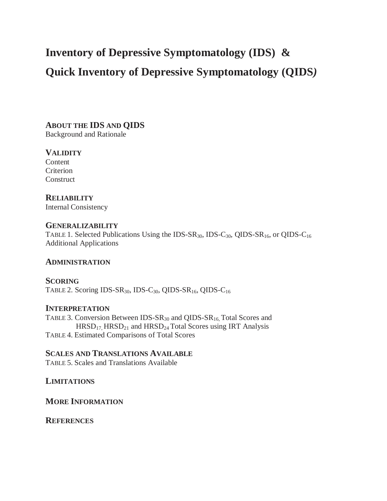# **Inventory of Depressive Symptomatology (IDS) &**

# **Quick Inventory of Depressive Symptomatology (QIDS***)*

**ABOUT THE IDS AND QIDS**  Background and Rationale

# **VALIDITY**

Content Criterion **Construct** 

# **RELIABILITY**

Internal Consistency

# **GENERALIZABILITY**

TABLE 1. Selected Publications Using the IDS-SR<sub>30</sub>, IDS-C<sub>30</sub>, QIDS-SR<sub>16</sub>, or QIDS-C<sub>16</sub> Additional Applications

# **ADMINISTRATION**

**SCORING**  TABLE 2. Scoring IDS-SR<sub>30</sub>, IDS-C<sub>30</sub>, QIDS-SR<sub>16</sub>, QIDS-C<sub>16</sub>

# **INTERPRETATION**

TABLE 3. Conversion Between  $IDS-SR_{30}$  and QIDS-SR<sub>16,</sub> Total Scores and  $HRSD<sub>17</sub> HRSD<sub>21</sub>$  and  $HRSD<sub>24</sub> Total Scores using IRT Analysis$ TABLE 4. Estimated Comparisons of Total Scores

# **SCALES AND TRANSLATIONS AVAILABLE**

TABLE 5. Scales and Translations Available

# **LIMITATIONS**

**MORE INFORMATION**

# **REFERENCES**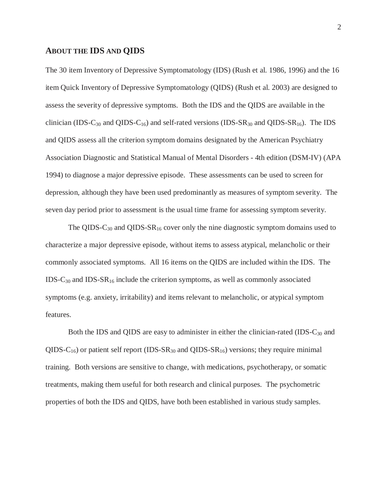# **ABOUT THE IDS AND QIDS**

The 30 item Inventory of Depressive Symptomatology (IDS) (Rush et al. 1986, 1996) and the 16 item Quick Inventory of Depressive Symptomatology (QIDS) (Rush et al. 2003) are designed to assess the severity of depressive symptoms. Both the IDS and the QIDS are available in the clinician (IDS-C<sub>30</sub> and QIDS-C<sub>16</sub>) and self-rated versions (IDS-SR<sub>30</sub> and QIDS-SR<sub>16</sub>). The IDS and QIDS assess all the criterion symptom domains designated by the American Psychiatry Association Diagnostic and Statistical Manual of Mental Disorders - 4th edition (DSM-IV) (APA 1994) to diagnose a major depressive episode. These assessments can be used to screen for depression, although they have been used predominantly as measures of symptom severity. The seven day period prior to assessment is the usual time frame for assessing symptom severity.

The QIDS-C<sub>30</sub> and QIDS-SR<sub>16</sub> cover only the nine diagnostic symptom domains used to characterize a major depressive episode, without items to assess atypical, melancholic or their commonly associated symptoms. All 16 items on the QIDS are included within the IDS. The  $IDS-C_{30}$  and  $IDS-SR_{16}$  include the criterion symptoms, as well as commonly associated symptoms (e.g. anxiety, irritability) and items relevant to melancholic, or atypical symptom features.

Both the IDS and QIDS are easy to administer in either the clinician-rated (IDS-C<sub>30</sub> and QIDS-C<sub>16</sub>) or patient self report (IDS-SR<sub>30</sub> and QIDS-SR<sub>16</sub>) versions; they require minimal training. Both versions are sensitive to change, with medications, psychotherapy, or somatic treatments, making them useful for both research and clinical purposes. The psychometric properties of both the IDS and QIDS, have both been established in various study samples.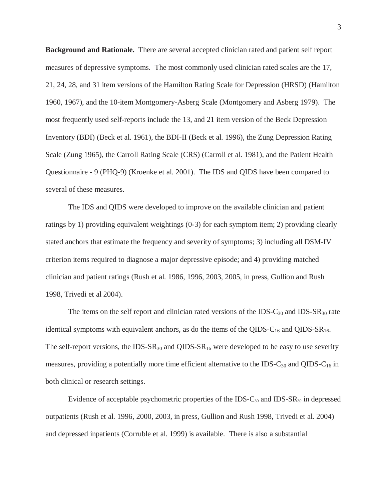**Background and Rationale.** There are several accepted clinician rated and patient self report measures of depressive symptoms. The most commonly used clinician rated scales are the 17, 21, 24, 28, and 31 item versions of the Hamilton Rating Scale for Depression (HRSD) (Hamilton 1960, 1967), and the 10-item Montgomery-Asberg Scale (Montgomery and Asberg 1979). The most frequently used self-reports include the 13, and 21 item version of the Beck Depression Inventory (BDI) (Beck et al. 1961), the BDI-II (Beck et al. 1996), the Zung Depression Rating Scale (Zung 1965), the Carroll Rating Scale (CRS) (Carroll et al. 1981), and the Patient Health Questionnaire - 9 (PHQ-9) (Kroenke et al. 2001). The IDS and QIDS have been compared to several of these measures.

 The IDS and QIDS were developed to improve on the available clinician and patient ratings by 1) providing equivalent weightings (0-3) for each symptom item; 2) providing clearly stated anchors that estimate the frequency and severity of symptoms; 3) including all DSM-IV criterion items required to diagnose a major depressive episode; and 4) providing matched clinician and patient ratings (Rush et al. 1986, 1996, 2003, 2005, in press, Gullion and Rush 1998, Trivedi et al 2004).

The items on the self report and clinician rated versions of the IDS- $C_{30}$  and IDS- $SR_{30}$  rate identical symptoms with equivalent anchors, as do the items of the QIDS- $C_{16}$  and QIDS-SR<sub>16</sub>. The self-report versions, the IDS- $SR_{30}$  and QIDS- $SR_{16}$  were developed to be easy to use severity measures, providing a potentially more time efficient alternative to the IDS- $C_{30}$  and QIDS- $C_{16}$  in both clinical or research settings.

Evidence of acceptable psychometric properties of the IDS- $C_{30}$  and IDS-SR<sub>30</sub> in depressed outpatients (Rush et al. 1996, 2000, 2003, in press, Gullion and Rush 1998, Trivedi et al. 2004) and depressed inpatients (Corruble et al. 1999) is available. There is also a substantial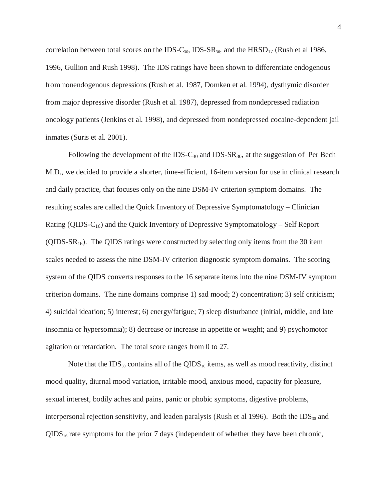correlation between total scores on the IDS-C<sub>30</sub>, IDS-SR<sub>30</sub>, and the HRSD<sub>17</sub> (Rush et al 1986, 1996, Gullion and Rush 1998). The IDS ratings have been shown to differentiate endogenous from nonendogenous depressions (Rush et al. 1987, Domken et al. 1994), dysthymic disorder from major depressive disorder (Rush et al. 1987), depressed from nondepressed radiation oncology patients (Jenkins et al. 1998), and depressed from nondepressed cocaine-dependent jail inmates (Suris et al. 2001).

Following the development of the IDS- $C_{30}$  and IDS- $SR_{30}$ , at the suggestion of Per Bech M.D., we decided to provide a shorter, time-efficient, 16-item version for use in clinical research and daily practice, that focuses only on the nine DSM-IV criterion symptom domains. The resulting scales are called the Quick Inventory of Depressive Symptomatology – Clinician Rating (QIDS- $C_{16}$ ) and the Quick Inventory of Depressive Symptomatology – Self Report (QIDS- $SR_{16}$ ). The QIDS ratings were constructed by selecting only items from the 30 item scales needed to assess the nine DSM-IV criterion diagnostic symptom domains. The scoring system of the QIDS converts responses to the 16 separate items into the nine DSM-IV symptom criterion domains. The nine domains comprise 1) sad mood; 2) concentration; 3) self criticism; 4) suicidal ideation; 5) interest; 6) energy/fatigue; 7) sleep disturbance (initial, middle, and late insomnia or hypersomnia); 8) decrease or increase in appetite or weight; and 9) psychomotor agitation or retardation. The total score ranges from 0 to 27.

Note that the  $IDS_{30}$  contains all of the QIDS<sub>16</sub> items, as well as mood reactivity, distinct mood quality, diurnal mood variation, irritable mood, anxious mood, capacity for pleasure, sexual interest, bodily aches and pains, panic or phobic symptoms, digestive problems, interpersonal rejection sensitivity, and leaden paralysis (Rush et al 1996). Both the  $IDS_{30}$  and  $QIDS_{16}$  rate symptoms for the prior 7 days (independent of whether they have been chronic,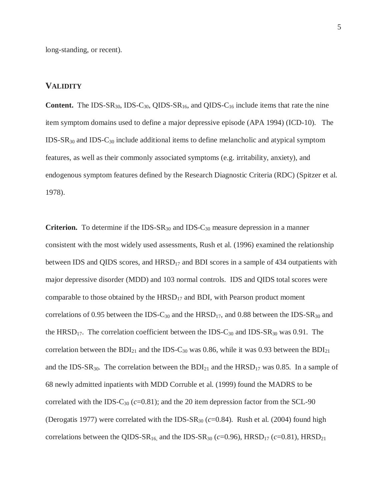long-standing, or recent).

# **VALIDITY**

**Content.** The IDS-SR<sub>30</sub>, IDS-C<sub>30</sub>, QIDS-SR<sub>16</sub>, and QIDS-C<sub>16</sub> include items that rate the nine item symptom domains used to define a major depressive episode (APA 1994) (ICD-10). The  $IDS-SR_{30}$  and  $IDS-C_{30}$  include additional items to define melancholic and atypical symptom features, as well as their commonly associated symptoms (e.g. irritability, anxiety), and endogenous symptom features defined by the Research Diagnostic Criteria (RDC) (Spitzer et al. 1978).

**Criterion.** To determine if the IDS-SR<sub>30</sub> and IDS-C<sub>30</sub> measure depression in a manner consistent with the most widely used assessments, Rush et al. (1996) examined the relationship between IDS and QIDS scores, and  $HRSD<sub>17</sub>$  and BDI scores in a sample of 434 outpatients with major depressive disorder (MDD) and 103 normal controls. IDS and QIDS total scores were comparable to those obtained by the  $HRSD_{17}$  and BDI, with Pearson product moment correlations of 0.95 between the IDS-C<sub>30</sub> and the  $HRSD_{17}$ , and 0.88 between the IDS-SR<sub>30</sub> and the HRSD<sub>17</sub>. The correlation coefficient between the IDS-C<sub>30</sub> and IDS-SR<sub>30</sub> was 0.91. The correlation between the  $BDI_{21}$  and the IDS-C<sub>30</sub> was 0.86, while it was 0.93 between the  $BDI_{21}$ and the IDS-SR<sub>30</sub>. The correlation between the  $BDI_{21}$  and the  $HRSD_{17}$  was 0.85. In a sample of 68 newly admitted inpatients with MDD Corruble et al. (1999) found the MADRS to be correlated with the IDS- $C_{30}$  ( $c=0.81$ ); and the 20 item depression factor from the SCL-90 (Derogatis 1977) were correlated with the IDS- $SR_{30}$  ( $c=0.84$ ). Rush et al. (2004) found high correlations between the QIDS-SR<sub>16</sub>, and the IDS-SR<sub>30</sub> ( $c$ =0.96), HRSD<sub>17</sub> ( $c$ =0.81), HRSD<sub>21</sub>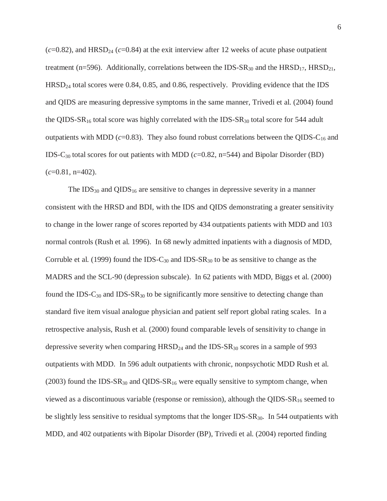$(c=0.82)$ , and HRSD<sub>24</sub>  $(c=0.84)$  at the exit interview after 12 weeks of acute phase outpatient treatment (n=596). Additionally, correlations between the  $IDS-SR_{30}$  and the  $HRSD_{17}$ ,  $HRSD_{21}$ , HRSD<sub>24</sub> total scores were 0.84, 0.85, and 0.86, respectively. Providing evidence that the IDS and QIDS are measuring depressive symptoms in the same manner, Trivedi et al. (2004) found the QIDS-SR<sub>16</sub> total score was highly correlated with the IDS-SR<sub>30</sub> total score for 544 adult outpatients with MDD ( $c$ =0.83). They also found robust correlations between the QIDS-C<sub>16</sub> and IDS-C30 total scores for out patients with MDD (*c*=0.82, n=544) and Bipolar Disorder (BD) (*c*=0.81, n=402).

The  $IDS_{30}$  and  $QIDS_{16}$  are sensitive to changes in depressive severity in a manner consistent with the HRSD and BDI, with the IDS and QIDS demonstrating a greater sensitivity to change in the lower range of scores reported by 434 outpatients patients with MDD and 103 normal controls (Rush et al. 1996). In 68 newly admitted inpatients with a diagnosis of MDD, Corruble et al. (1999) found the IDS- $C_{30}$  and IDS-SR<sub>30</sub> to be as sensitive to change as the MADRS and the SCL-90 (depression subscale). In 62 patients with MDD, Biggs et al. (2000) found the IDS- $C_{30}$  and IDS-SR<sub>30</sub> to be significantly more sensitive to detecting change than standard five item visual analogue physician and patient self report global rating scales. In a retrospective analysis, Rush et al. (2000) found comparable levels of sensitivity to change in depressive severity when comparing  $HRSD<sub>24</sub>$  and the IDS-SR<sub>30</sub> scores in a sample of 993 outpatients with MDD. In 596 adult outpatients with chronic, nonpsychotic MDD Rush et al. (2003) found the IDS-SR<sub>30</sub> and QIDS-SR<sub>16</sub> were equally sensitive to symptom change, when viewed as a discontinuous variable (response or remission), although the QIDS- $SR_{16}$  seemed to be slightly less sensitive to residual symptoms that the longer IDS-SR<sub>30</sub>. In 544 outpatients with MDD, and 402 outpatients with Bipolar Disorder (BP), Trivedi et al. (2004) reported finding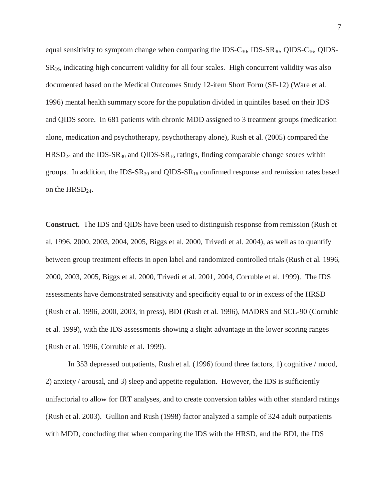equal sensitivity to symptom change when comparing the IDS-C<sub>30</sub>, IDS-SR<sub>30</sub>, QIDS-C<sub>16</sub>, QIDS- $SR<sub>16</sub>$ , indicating high concurrent validity for all four scales. High concurrent validity was also documented based on the Medical Outcomes Study 12-item Short Form (SF-12) (Ware et al. 1996) mental health summary score for the population divided in quintiles based on their IDS and QIDS score. In 681 patients with chronic MDD assigned to 3 treatment groups (medication alone, medication and psychotherapy, psychotherapy alone), Rush et al. (2005) compared the  $HRSD<sub>24</sub>$  and the IDS-SR<sub>30</sub> and QIDS-SR<sub>16</sub> ratings, finding comparable change scores within groups. In addition, the IDS-SR<sub>30</sub> and QIDS-SR<sub>16</sub> confirmed response and remission rates based on the HRSD<sub>24</sub>.

**Construct.** The IDS and QIDS have been used to distinguish response from remission (Rush et al. 1996, 2000, 2003, 2004, 2005, Biggs et al. 2000, Trivedi et al. 2004), as well as to quantify between group treatment effects in open label and randomized controlled trials (Rush et al. 1996, 2000, 2003, 2005, Biggs et al. 2000, Trivedi et al. 2001, 2004, Corruble et al. 1999). The IDS assessments have demonstrated sensitivity and specificity equal to or in excess of the HRSD (Rush et al. 1996, 2000, 2003, in press), BDI (Rush et al. 1996), MADRS and SCL-90 (Corruble et al. 1999), with the IDS assessments showing a slight advantage in the lower scoring ranges (Rush et al. 1996, Corruble et al. 1999).

 In 353 depressed outpatients, Rush et al. (1996) found three factors, 1) cognitive / mood, 2) anxiety / arousal, and 3) sleep and appetite regulation. However, the IDS is sufficiently unifactorial to allow for IRT analyses, and to create conversion tables with other standard ratings (Rush et al. 2003). Gullion and Rush (1998) factor analyzed a sample of 324 adult outpatients with MDD, concluding that when comparing the IDS with the HRSD, and the BDI, the IDS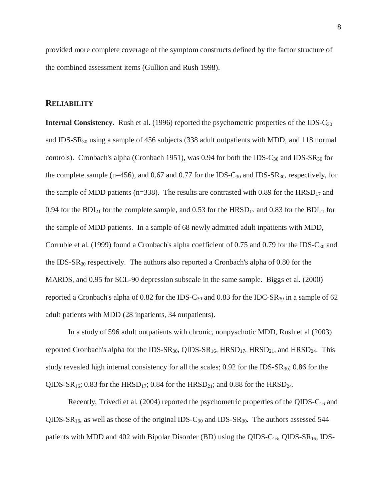provided more complete coverage of the symptom constructs defined by the factor structure of the combined assessment items (Gullion and Rush 1998).

## **RELIABILITY**

**Internal Consistency.** Rush et al. (1996) reported the psychometric properties of the IDS-C<sub>30</sub> and IDS-SR30 using a sample of 456 subjects (338 adult outpatients with MDD, and 118 normal controls). Cronbach's alpha (Cronbach 1951), was 0.94 for both the IDS- $C_{30}$  and IDS- $SR_{30}$  for the complete sample (n=456), and 0.67 and 0.77 for the IDS- $C_{30}$  and IDS- $SR_{30}$ , respectively, for the sample of MDD patients (n=338). The results are contrasted with 0.89 for the  $HRSD_{17}$  and 0.94 for the BDI<sub>21</sub> for the complete sample, and 0.53 for the  $HRSD_{17}$  and 0.83 for the BDI<sub>21</sub> for the sample of MDD patients. In a sample of 68 newly admitted adult inpatients with MDD, Corruble et al. (1999) found a Cronbach's alpha coefficient of 0.75 and 0.79 for the IDS-C<sub>30</sub> and the IDS-SR30 respectively. The authors also reported a Cronbach's alpha of 0.80 for the MARDS, and 0.95 for SCL-90 depression subscale in the same sample. Biggs et al. (2000) reported a Cronbach's alpha of  $0.82$  for the IDS-C<sub>30</sub> and  $0.83$  for the IDC-SR<sub>30</sub> in a sample of 62 adult patients with MDD (28 inpatients, 34 outpatients).

 In a study of 596 adult outpatients with chronic, nonpyschotic MDD, Rush et al (2003) reported Cronbach's alpha for the IDS-SR<sub>30</sub>, QIDS-SR<sub>16</sub>,  $HRSD_{17}$ ,  $HRSD_{21}$ , and  $HRSD_{24}$ . This study revealed high internal consistency for all the scales;  $0.92$  for the IDS-SR<sub>30</sub>; 0.86 for the QIDS-SR<sub>16</sub>; 0.83 for the HRSD<sub>17</sub>; 0.84 for the HRSD<sub>21</sub>; and 0.88 for the HRSD<sub>24</sub>.

Recently, Trivedi et al. (2004) reported the psychometric properties of the QIDS- $C_{16}$  and QIDS-SR<sub>16</sub>, as well as those of the original IDS-C<sub>30</sub> and IDS-SR<sub>30</sub>. The authors assessed 544 patients with MDD and 402 with Bipolar Disorder (BD) using the QIDS- $C_{16}$ , QIDS-SR<sub>16</sub>, IDS-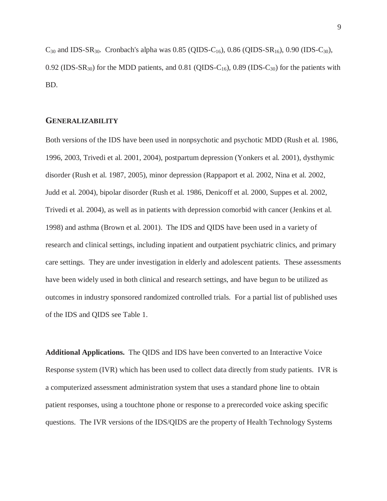$C_{30}$  and IDS-SR<sub>30</sub>. Cronbach's alpha was 0.85 (OIDS-C<sub>16</sub>), 0.86 (OIDS-SR<sub>16</sub>), 0.90 (IDS-C<sub>30</sub>), 0.92 (IDS-SR<sub>30</sub>) for the MDD patients, and 0.81 (QIDS-C<sub>16</sub>), 0.89 (IDS-C<sub>30</sub>) for the patients with BD.

## **GENERALIZABILITY**

Both versions of the IDS have been used in nonpsychotic and psychotic MDD (Rush et al. 1986, 1996, 2003, Trivedi et al. 2001, 2004), postpartum depression (Yonkers et al. 2001), dysthymic disorder (Rush et al. 1987, 2005), minor depression (Rappaport et al. 2002, Nina et al. 2002, Judd et al. 2004), bipolar disorder (Rush et al. 1986, Denicoff et al. 2000, Suppes et al. 2002, Trivedi et al. 2004), as well as in patients with depression comorbid with cancer (Jenkins et al. 1998) and asthma (Brown et al. 2001). The IDS and QIDS have been used in a variety of research and clinical settings, including inpatient and outpatient psychiatric clinics, and primary care settings. They are under investigation in elderly and adolescent patients. These assessments have been widely used in both clinical and research settings, and have begun to be utilized as outcomes in industry sponsored randomized controlled trials. For a partial list of published uses of the IDS and QIDS see Table 1.

**Additional Applications.** The QIDS and IDS have been converted to an Interactive Voice Response system (IVR) which has been used to collect data directly from study patients. IVR is a computerized assessment administration system that uses a standard phone line to obtain patient responses, using a touchtone phone or response to a prerecorded voice asking specific questions. The IVR versions of the IDS/QIDS are the property of Health Technology Systems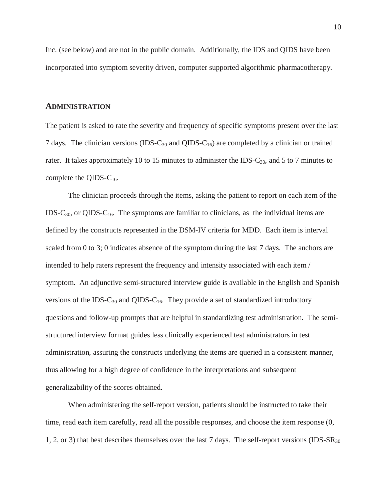Inc. (see below) and are not in the public domain. Additionally, the IDS and QIDS have been incorporated into symptom severity driven, computer supported algorithmic pharmacotherapy.

#### **ADMINISTRATION**

The patient is asked to rate the severity and frequency of specific symptoms present over the last 7 days. The clinician versions (IDS-C<sub>30</sub> and QIDS-C<sub>16</sub>) are completed by a clinician or trained rater. It takes approximately 10 to 15 minutes to administer the IDS- $C_{30}$ , and 5 to 7 minutes to complete the QIDS- $C_{16}$ .

 The clinician proceeds through the items, asking the patient to report on each item of the IDS-C<sub>30</sub>, or QIDS-C<sub>16</sub>. The symptoms are familiar to clinicians, as the individual items are defined by the constructs represented in the DSM-IV criteria for MDD. Each item is interval scaled from 0 to 3; 0 indicates absence of the symptom during the last 7 days. The anchors are intended to help raters represent the frequency and intensity associated with each item / symptom. An adjunctive semi-structured interview guide is available in the English and Spanish versions of the IDS- $C_{30}$  and QIDS- $C_{16}$ . They provide a set of standardized introductory questions and follow-up prompts that are helpful in standardizing test administration. The semistructured interview format guides less clinically experienced test administrators in test administration, assuring the constructs underlying the items are queried in a consistent manner, thus allowing for a high degree of confidence in the interpretations and subsequent generalizability of the scores obtained.

 When administering the self-report version, patients should be instructed to take their time, read each item carefully, read all the possible responses, and choose the item response (0, 1, 2, or 3) that best describes themselves over the last 7 days. The self-report versions (IDS-SR<sub>30</sub>)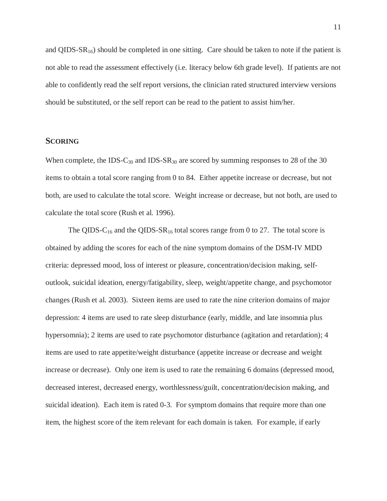and QIDS- $SR_{16}$ ) should be completed in one sitting. Care should be taken to note if the patient is not able to read the assessment effectively (i.e. literacy below 6th grade level). If patients are not able to confidently read the self report versions, the clinician rated structured interview versions should be substituted, or the self report can be read to the patient to assist him/her.

## **SCORING**

When complete, the IDS-C<sub>30</sub> and IDS-SR<sub>30</sub> are scored by summing responses to 28 of the 30 items to obtain a total score ranging from 0 to 84. Either appetite increase or decrease, but not both, are used to calculate the total score. Weight increase or decrease, but not both, are used to calculate the total score (Rush et al. 1996).

The QIDS-C<sub>16</sub> and the QIDS-SR<sub>16</sub> total scores range from 0 to 27. The total score is obtained by adding the scores for each of the nine symptom domains of the DSM-IV MDD criteria: depressed mood, loss of interest or pleasure, concentration/decision making, selfoutlook, suicidal ideation, energy/fatigability, sleep, weight/appetite change, and psychomotor changes (Rush et al. 2003). Sixteen items are used to rate the nine criterion domains of major depression: 4 items are used to rate sleep disturbance (early, middle, and late insomnia plus hypersomnia); 2 items are used to rate psychomotor disturbance (agitation and retardation); 4 items are used to rate appetite/weight disturbance (appetite increase or decrease and weight increase or decrease). Only one item is used to rate the remaining 6 domains (depressed mood, decreased interest, decreased energy, worthlessness/guilt, concentration/decision making, and suicidal ideation). Each item is rated 0-3. For symptom domains that require more than one item, the highest score of the item relevant for each domain is taken. For example, if early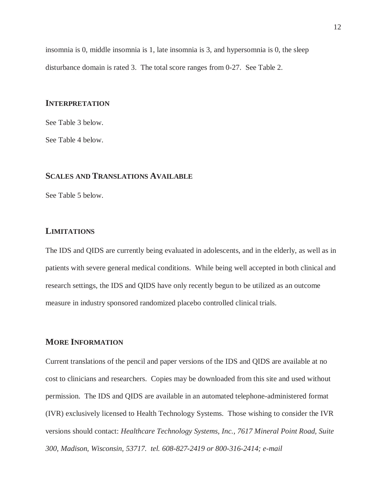insomnia is 0, middle insomnia is 1, late insomnia is 3, and hypersomnia is 0, the sleep disturbance domain is rated 3. The total score ranges from 0-27. See Table 2.

### **INTERPRETATION**

See Table 3 below.

See Table 4 below.

# **SCALES AND TRANSLATIONS AVAILABLE**

See Table 5 below.

# **LIMITATIONS**

The IDS and QIDS are currently being evaluated in adolescents, and in the elderly, as well as in patients with severe general medical conditions. While being well accepted in both clinical and research settings, the IDS and QIDS have only recently begun to be utilized as an outcome measure in industry sponsored randomized placebo controlled clinical trials.

# **MORE INFORMATION**

Current translations of the pencil and paper versions of the IDS and QIDS are available at no cost to clinicians and researchers. Copies may be downloaded from this site and used without permission. The IDS and QIDS are available in an automated telephone-administered format (IVR) exclusively licensed to Health Technology Systems. Those wishing to consider the IVR versions should contact: *Healthcare Technology Systems, Inc., 7617 Mineral Point Road, Suite 300, Madison, Wisconsin, 53717. tel. 608-827-2419 or 800-316-2414; e-mail*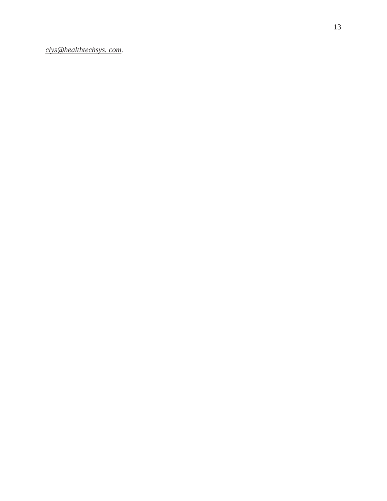*clys@healthtechsys. com.*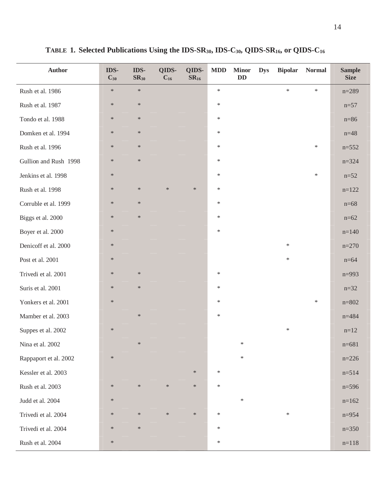| <b>Author</b>         | IDS-<br>$C_{30}$ | IDS-<br>$SR_{30}$ | QIDS-<br>$C_{16}$ | QIDS-<br>$SR_{16}$ | MDD    | <b>Minor</b><br>DD | <b>Dys</b> | <b>Bipolar</b> | <b>Normal</b> | <b>Sample</b><br><b>Size</b> |
|-----------------------|------------------|-------------------|-------------------|--------------------|--------|--------------------|------------|----------------|---------------|------------------------------|
| Rush et al. 1986      | $\ast$           | $\ast$            |                   |                    | $\ast$ |                    |            | $\ast$         | $\ast$        | $n = 289$                    |
| Rush et al. 1987      | $\ast$           | $\ast$            |                   |                    | $\ast$ |                    |            |                |               | $n=57$                       |
| Tondo et al. 1988     | $\ast$           | $\ast$            |                   |                    | $\ast$ |                    |            |                |               | $n=86$                       |
| Domken et al. 1994    | $\ast$           | $\ast$            |                   |                    | $\ast$ |                    |            |                |               | $n = 48$                     |
| Rush et al. 1996      | $\ast$           | $\ast$            |                   |                    | $\ast$ |                    |            |                | $\ast$        | $n = 552$                    |
| Gullion and Rush 1998 | $\ast$           | $\ast$            |                   |                    | $\ast$ |                    |            |                |               | $n = 324$                    |
| Jenkins et al. 1998   | $\ast$           |                   |                   |                    | $\ast$ |                    |            |                | $\ast$        | $n = 52$                     |
| Rush et al. 1998      | $\ast$           | $\ast$            | $\ast$            | $\ast$             | $\ast$ |                    |            |                |               | $n=122$                      |
| Corruble et al. 1999  | $\ast$           | $\ast$            |                   |                    | $\ast$ |                    |            |                |               | $n=68$                       |
| Biggs et al. 2000     | $\ast$           | $\ast$            |                   |                    | $\ast$ |                    |            |                |               | $n=62$                       |
| Boyer et al. 2000     | $\ast$           |                   |                   |                    | $\ast$ |                    |            |                |               | $n=140$                      |
| Denicoff et al. 2000  | $\ast$           |                   |                   |                    |        |                    |            | $\ast$         |               | $n=270$                      |
| Post et al. 2001      | $\ast$           |                   |                   |                    |        |                    |            | $\ast$         |               | $n=64$                       |
| Trivedi et al. 2001   | $\ast$           | $\ast$            |                   |                    | $\ast$ |                    |            |                |               | $n=993$                      |
| Suris et al. 2001     | $\ast$           | $\ast$            |                   |                    | $\ast$ |                    |            |                |               | $n=32$                       |
| Yonkers et al. 2001   | $\ast$           |                   |                   |                    | $\ast$ |                    |            |                | $\ast$        | $n = 802$                    |
| Mamber et al. 2003    |                  | $\ast$            |                   |                    | $\ast$ |                    |            |                |               | $n = 484$                    |
| Suppes et al. 2002    | $\ast$           |                   |                   |                    |        |                    |            | $\ast$         |               | $n = 12$                     |
| Nina et al. 2002      |                  | $\ast$            |                   |                    |        | $\ast$             |            |                |               | $n = 681$                    |
| Rappaport et al. 2002 | $\ast$           |                   |                   |                    |        | $\ast$             |            |                |               | $n=226$                      |
| Kessler et al. 2003   |                  |                   |                   | $\ast$             | $\ast$ |                    |            |                |               | $n=514$                      |
| Rush et al. 2003      | $\ast$           | $\ast$            | $\ast$            | $\ast$             | $\ast$ |                    |            |                |               | $n=596$                      |
| Judd et al. 2004      | $\ast$           |                   |                   |                    |        | $\ast$             |            |                |               | $n=162$                      |
| Trivedi et al. 2004   | $\ast$           | $\ast$            | $\ast$            | $\ast$             | $\ast$ |                    |            | $\ast$         |               | $n = 954$                    |
| Trivedi et al. 2004   | $\ast$           | $\ast$            |                   |                    | $\ast$ |                    |            |                |               | $n=350$                      |
| Rush et al. 2004      | $\ast$           |                   |                   |                    | $\ast$ |                    |            |                |               | $n=118$                      |

**TABLE 1. Selected Publications Using the IDS-SR30, IDS-C30, QIDS-SR16, or QIDS-C16**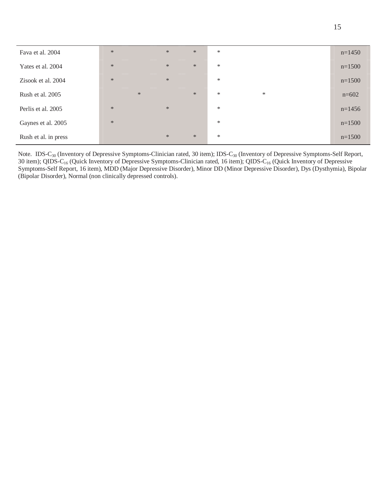| Fava et al. 2004     | $\ast$ | $\ast$ | $\ast$ | $\ast$ |        | $n=1450$ |
|----------------------|--------|--------|--------|--------|--------|----------|
| Yates et al. 2004    | $\ast$ | $\ast$ | $\ast$ | $\ast$ |        | $n=1500$ |
| Zisook et al. 2004   | $\ast$ | $\ast$ |        | $\ast$ |        | $n=1500$ |
| Rush et al. 2005     |        | $\ast$ | $\ast$ | $\ast$ | $\ast$ | $n=602$  |
| Perlis et al. 2005   | $\ast$ | $\ast$ |        | $\ast$ |        | $n=1456$ |
| Gaynes et al. 2005   | $\ast$ |        |        | $\ast$ |        | $n=1500$ |
| Rush et al. in press |        | $\ast$ | $\ast$ | $\ast$ |        | $n=1500$ |

Note. IDS-C<sub>30</sub> (Inventory of Depressive Symptoms-Clinician rated, 30 item); IDS-C<sub>30</sub> (Inventory of Depressive Symptoms-Self Report, 30 item); QIDS-C<sub>16</sub> (Quick Inventory of Depressive Symptoms-Clinician rated, 16 item); QIDS-C<sub>16</sub> (Quick Inventory of Depressive Symptoms-Self Report, 16 item), MDD (Major Depressive Disorder), Minor DD (Minor Depressive Disorder), Dys (Dysthymia), Bipolar (Bipolar Disorder), Normal (non clinically depressed controls).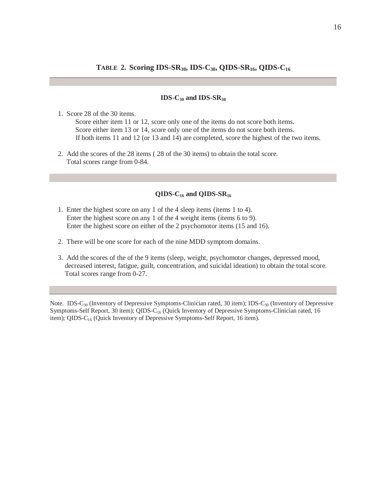## **TABLE 2. Scoring IDS-SR30, IDS-C30, QIDS-SR16, QIDS-C16**

#### **IDS-C30 and IDS-SR30**

1. Score 28 of the 30 items.

 Score either item 11 or 12, score only one of the items do not score both items. Score either item 13 or 14, score only one of the items do not score both items. If both items 11 and 12 (or 13 and 14) are completed, score the highest of the two items.

2. Add the scores of the 28 items ( 28 of the 30 items) to obtain the total score. Total scores range from 0-84.

## **QIDS-C16 and QIDS-SR16**

- 1. Enter the highest score on any 1 of the 4 sleep items (items 1 to 4). Enter the highest score on any 1 of the 4 weight items (items 6 to 9). Enter the highest score on either of the 2 psychomotor items (15 and 16).
- 2. There will be one score for each of the nine MDD symptom domains.
- 3. Add the scores of the of the 9 items (sleep, weight, psychomotor changes, depressed mood, decreased interest, fatigue, guilt, concentration, and suicidal ideation) to obtain the total score. Total scores range from 0-27.

Note. IDS-C<sub>30</sub> (Inventory of Depressive Symptoms-Clinician rated, 30 item); IDS-C<sub>30</sub> (Inventory of Depressive Symptoms-Self Report, 30 item); QIDS-C<sub>16</sub> (Quick Inventory of Depressive Symptoms-Clinician rated, 16 item); QIDS-C<sub>16</sub> (Quick Inventory of Depressive Symptoms-Self Report, 16 item).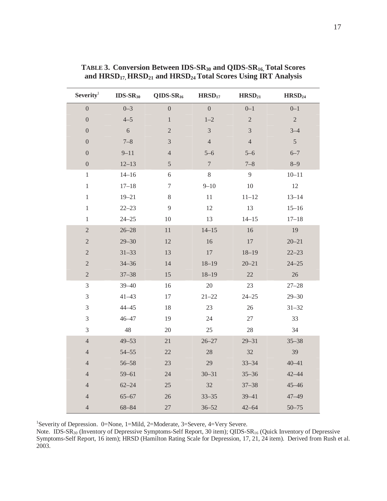| Severity <sup>1</sup>       | $IDS-SR30$     | $QIDS-SR_{16}$   | H RSD <sub>17</sub> | H RSD <sub>21</sub> | H RSD <sub>24</sub> |
|-----------------------------|----------------|------------------|---------------------|---------------------|---------------------|
| $\overline{0}$              | $0 - 3$        | $\overline{0}$   | $\overline{0}$      | $0 - 1$             | $0 - 1$             |
| $\boldsymbol{0}$            | $4 - 5$        | $\,1$            | $1 - 2$             | $\overline{c}$      | $\overline{2}$      |
| $\boldsymbol{0}$            | $\overline{6}$ | $\sqrt{2}$       | $\overline{3}$      | $\mathfrak{Z}$      | $3 - 4$             |
| $\boldsymbol{0}$            | $7 - 8$        | $\mathfrak{Z}$   | $\overline{4}$      | $\overline{4}$      | $\mathfrak{S}$      |
| $\boldsymbol{0}$            | $9 - 11$       | $\sqrt{4}$       | $5 - 6$             | $5 - 6$             | $6 - 7$             |
| $\boldsymbol{0}$            | $12 - 13$      | $\sqrt{5}$       | $\boldsymbol{7}$    | $7 - 8$             | $8 - 9$             |
| $\,1$                       | $14 - 16$      | $\sqrt{6}$       | $8\,$               | 9                   | $10 - 11$           |
| $\,1$                       | $17 - 18$      | $\boldsymbol{7}$ | $9 - 10$            | $10\,$              | $12\,$              |
| $\,1$                       | $19 - 21$      | $8\,$            | $11\,$              | $11 - 12$           | $13 - 14$           |
| $\,1\,$                     | $22 - 23$      | 9                | 12                  | 13                  | $15 - 16$           |
| $\mathbf{1}$                | $24 - 25$      | 10               | 13                  | $14 - 15$           | $17 - 18$           |
| $\overline{2}$              | $26 - 28$      | 11               | $14 - 15$           | 16                  | 19                  |
| $\overline{c}$              | $29 - 30$      | 12               | 16                  | $17\,$              | $20 - 21$           |
| $\sqrt{2}$                  | $31 - 33$      | 13               | $17\,$              | $18 - 19$           | $22 - 23$           |
| $\overline{2}$              | $34 - 36$      | 14               | $18 - 19$           | $20 - 21$           | $24 - 25$           |
| $\sqrt{2}$                  | $37 - 38$      | 15               | $18 - 19$           | $22\,$              | $26\,$              |
| $\ensuremath{\mathfrak{Z}}$ | $39 - 40$      | 16               | $20\,$              | 23                  | $27 - 28$           |
| $\mathfrak{Z}$              | $41 - 43$      | $17\,$           | $21 - 22$           | $24 - 25$           | $29 - 30$           |
| $\mathfrak 3$               | $44 - 45$      | 18               | 23                  | 26                  | $31 - 32$           |
| $\mathfrak 3$               | $46 - 47$      | 19               | $24\,$              | 27                  | 33                  |
| $\mathfrak{Z}$              | 48             | 20               | 25                  | 28                  | 34                  |
| $\sqrt{4}$                  | $49 - 53$      | 21               | $26 - 27$           | $29 - 31$           | $35 - 38$           |
| $\sqrt{4}$                  | $54 - 55$      | 22               | 28                  | 32                  | 39                  |
| $\overline{4}$              | $56 - 58$      | $23\,$           | $29\,$              | $33 - 34$           | $40 - 41$           |
| $\overline{4}$              | $59 - 61$      | 24               | $30 - 31$           | $35 - 36$           | $42 - 44$           |
| $\overline{4}$              | $62 - 24$      | 25               | 32                  | $37 - 38$           | $45 - 46$           |
| $\sqrt{4}$                  | $65 - 67$      | $26\,$           | $33 - 35$           | $39 - 41$           | $47 - 49$           |
| $\overline{4}$              | $68 - 84$      | $27\,$           | $36 - 52$           | $42 - 64$           | $50 - 75$           |

**TABLE 3. Conversion Between IDS-SR30 and QIDS-SR16, Total Scores**  and HRSD<sub>17,</sub> HRSD<sub>21</sub> and HRSD<sub>24</sub> Total Scores Using IRT Analysis

1 Severity of Depression. 0=None, 1=Mild, 2=Moderate, 3=Severe, 4=Very Severe.

Note. IDS-SR<sub>30</sub> (Inventory of Depressive Symptoms-Self Report, 30 item); QIDS-SR<sub>16</sub> (Quick Inventory of Depressive Symptoms-Self Report, 16 item); HRSD (Hamilton Rating Scale for Depression, 17, 21, 24 item). Derived from Rush et al. 2003.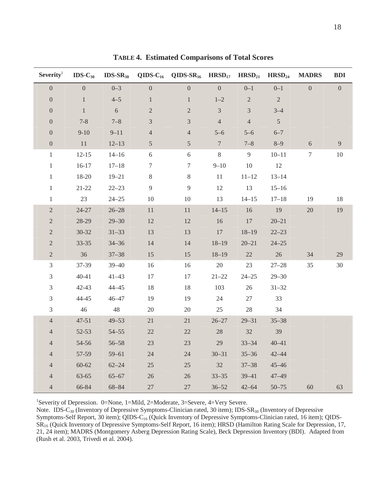| $S$ everity <sup>1</sup> | $IDS-C_{30}$   |           |                  | $IDS-SR_{30}$ QIDS-C <sub>16</sub> QIDS-SR <sub>16</sub> HRSD <sub>17</sub> HRSD <sub>21</sub> HRSD <sub>24</sub> |                 |                |                 | <b>MADRS</b>     | <b>BDI</b>       |
|--------------------------|----------------|-----------|------------------|-------------------------------------------------------------------------------------------------------------------|-----------------|----------------|-----------------|------------------|------------------|
| $\overline{0}$           | $\overline{0}$ | $0 - 3$   | $\boldsymbol{0}$ | $\overline{0}$                                                                                                    | $\overline{0}$  | $0 - 1$        | $0 - 1$         | $\overline{0}$   | $\boldsymbol{0}$ |
| $\boldsymbol{0}$         | $\mathbf{1}$   | $4 - 5$   | $\mathbf{1}$     | $\mathbf{1}$                                                                                                      | $1 - 2$         | $\overline{2}$ | $\overline{2}$  |                  |                  |
| $\boldsymbol{0}$         | $\mathbf{1}$   | 6         | $\overline{2}$   | $\overline{2}$                                                                                                    | $\overline{3}$  | $\overline{3}$ | $3 - 4$         |                  |                  |
| $\boldsymbol{0}$         | $7 - 8$        | $7 - 8$   | $\mathfrak{Z}$   | 3                                                                                                                 | $\overline{4}$  | $\overline{4}$ | $5\overline{)}$ |                  |                  |
| $\boldsymbol{0}$         | $9 - 10$       | $9 - 11$  | $\overline{4}$   | $\overline{\mathcal{L}}$                                                                                          | $5 - 6$         | $5 - 6$        | $6 - 7$         |                  |                  |
| $\boldsymbol{0}$         | 11             | $12 - 13$ | 5                | $\sqrt{5}$                                                                                                        | $7\phantom{.0}$ | $7 - 8$        | $8 - 9$         | $6\,$            | $\boldsymbol{9}$ |
| $\mathbf{1}$             | $12 - 15$      | $14 - 16$ | $\sqrt{6}$       | $\sqrt{6}$                                                                                                        | $8\,$           | 9              | $10 - 11$       | $\boldsymbol{7}$ | $10\,$           |
| $\,1$                    | $16-17$        | $17 - 18$ | $\boldsymbol{7}$ | $\tau$                                                                                                            | $9 - 10$        | $10\,$         | 12              |                  |                  |
| $\mathbf{1}$             | 18-20          | $19 - 21$ | $\,8\,$          | $8\,$                                                                                                             | 11              | $11 - 12$      | $13 - 14$       |                  |                  |
| $\mathbf{1}$             | $21 - 22$      | $22 - 23$ | $\overline{9}$   | $\mathbf{9}$                                                                                                      | 12              | 13             | $15 - 16$       |                  |                  |
| $\mathbf{1}$             | 23             | $24 - 25$ | 10               | $10\,$                                                                                                            | 13              | $14 - 15$      | $17 - 18$       | 19               | 18               |
| $\sqrt{2}$               | $24 - 27$      | $26 - 28$ | 11               | $11\,$                                                                                                            | $14 - 15$       | 16             | 19              | $20\,$           | 19               |
| $\overline{c}$           | 28-29          | $29 - 30$ | 12               | 12                                                                                                                | 16              | 17             | $20 - 21$       |                  |                  |
| $\mathbf{2}$             | $30 - 32$      | $31 - 33$ | 13               | 13                                                                                                                | 17              | $18 - 19$      | $22 - 23$       |                  |                  |
| $\mathbf{2}$             | $33 - 35$      | $34 - 36$ | 14               | 14                                                                                                                | $18 - 19$       | $20 - 21$      | $24 - 25$       |                  |                  |
| $\overline{2}$           | 36             | $37 - 38$ | 15               | 15                                                                                                                | $18 - 19$       | 22             | 26              | 34               | 29               |
| 3                        | 37-39          | $39 - 40$ | 16               | 16                                                                                                                | 20              | 23             | $27 - 28$       | 35               | $30\,$           |
| 3                        | $40 - 41$      | $41 - 43$ | 17               | 17                                                                                                                | $21 - 22$       | $24 - 25$      | $29 - 30$       |                  |                  |
| 3                        | $42 - 43$      | $44 - 45$ | 18               | 18                                                                                                                | 103             | 26             | $31 - 32$       |                  |                  |
| 3                        | 44-45          | $46 - 47$ | 19               | 19                                                                                                                | 24              | 27             | 33              |                  |                  |
| 3                        | 46             | 48        | $20\,$           | 20                                                                                                                | 25              | 28             | 34              |                  |                  |
| $\overline{4}$           | $47 - 51$      | $49 - 53$ | $21\,$           | 21                                                                                                                | $26 - 27$       | $29 - 31$      | $35 - 38$       |                  |                  |
| $\overline{4}$           | $52 - 53$      | $54 - 55$ | $22\,$           | $22\,$                                                                                                            | 28              | 32             | 39              |                  |                  |
| $\overline{4}$           | 54-56          | $56 - 58$ | 23               | 23                                                                                                                | 29              | $33 - 34$      | $40 - 41$       |                  |                  |
| $\overline{4}$           | 57-59          | $59 - 61$ | 24               | $24\,$                                                                                                            | $30 - 31$       | $35 - 36$      | $42 - 44$       |                  |                  |
| $\overline{4}$           | $60 - 62$      | $62 - 24$ | 25               | $25\,$                                                                                                            | 32              | $37 - 38$      | $45 - 46$       |                  |                  |
| $\overline{4}$           | $63 - 65$      | $65 - 67$ | $26\,$           | $26\,$                                                                                                            | $33 - 35$       | $39 - 41$      | $47 - 49$       |                  |                  |
| $\overline{4}$           | 66-84          | 68-84     | $27\,$           | 27                                                                                                                | $36 - 52$       | $42 - 64$      | $50 - 75$       | 60               | 63               |

**TABLE 4. Estimated Comparisons of Total Scores** 

1 Severity of Depression. 0=None, 1=Mild, 2=Moderate, 3=Severe, 4=Very Severe.

Note. IDS-C<sub>30</sub> (Inventory of Depressive Symptoms-Clinician rated, 30 item); IDS-SR<sub>30</sub> (Inventory of Depressive Symptoms-Self Report, 30 item); QIDS-C<sub>16</sub> (Quick Inventory of Depressive Symptoms-Clinician rated, 16 item); QIDS-SR16 (Quick Inventory of Depressive Symptoms-Self Report, 16 item); HRSD (Hamilton Rating Scale for Depression, 17, 21, 24 item); MADRS (Montgomery Asberg Depression Rating Scale), Beck Depression Inventory (BDI). Adapted from (Rush et al. 2003, Trivedi et al. 2004).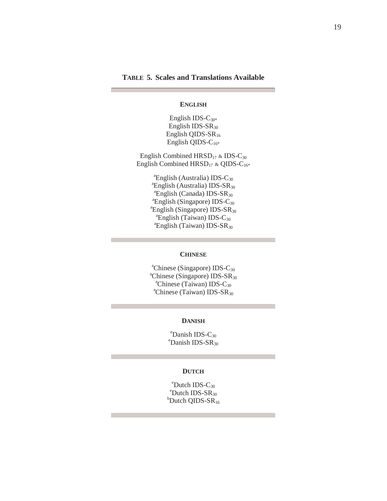# **TABLE 5. Scales and Translations Available**

#### **ENGLISH**

English IDS- $C_{30*}$ English IDS- $SR<sub>30</sub>$ English QIDS-SR<sub>16</sub> English QIDS-C<sub>16\*</sub>

English Combined  $HRSD_{17}$  & IDS-C<sub>30</sub> English Combined  $HRSD_{17}$  & QIDS-C<sub>16\*</sub>

> <sup>a</sup>English (Australia) IDS-C<sub>30</sub><br><sup>a</sup>English (Australia) IDS-SP <sup>a</sup>English (Australia) IDS-SR<sub>30</sub>  ${}^{\text{a}}$ English (Canada) IDS-SR<sub>30</sub>  ${}^{\text{a}}$ English (Singapore) IDS-C<sub>30</sub>  ${}^{\text{a}}$ English (Singapore) IDS-SR<sub>30</sub>  ${}^{\text{a}}$ English (Taiwan) IDS-C<sub>30</sub>  ${}^{\text{a}}$ English (Taiwan) IDS-SR<sub>30</sub>

#### **CHINESE**

<sup>a</sup>Chinese (Singapore) IDS-C<sub>30</sub><br><sup>a</sup>Chinese (Singapore) IDS-SP  ${}^{\text{a}}$ Chinese (Singapore) IDS-SR<sub>30</sub> <sup>a</sup>Chinese (Taiwan) IDS- $C_{30}$  ${}^{\text{a}}$ Chinese (Taiwan) IDS-SR<sub>30</sub>

#### **DANISH**

 $e^{\text{t}}$ Danish IDS-C<sub>30</sub>  $^{\circ}$ Danish IDS-SR<sub>30</sub>

#### **DUTCH**

 $e^{\text{c}}$ Dutch IDS-C<sub>30</sub><br> $e^{\text{c}}$ Dutch IDS-S<sub>D</sub>  $^{\circ}$ Dutch IDS-SR<sub>30</sub>  $b$ Dutch QIDS-SR<sub>16</sub>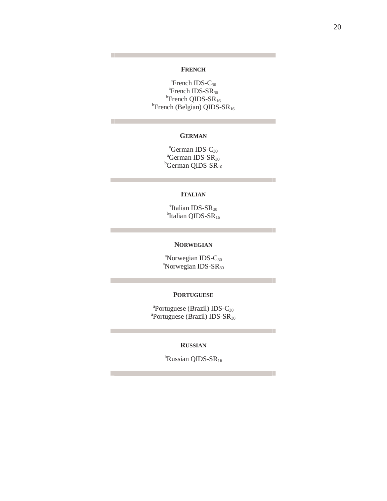## **FRENCH**

 $n_{\text{Erench}}$  IDS-C<sub>30</sub> <sup>a</sup>French IDS-SR<sub>30</sub>  ${}^{b}$ French QIDS-SR<sub>16</sub>  ${}^{b}$ French (Belgian) QIDS-SR<sub>16</sub>

# **GERMAN**

 $\frac{a}{2}$ German IDS-C<sub>30</sub>  ${}^{\text{a}}$ German IDS-SR<sub>30</sub>  $b$ German QIDS-S $R_{16}$ 

#### **ITALIAN**

<sup>e</sup>Italian IDS-SR<sub>30</sub>  $^{\rm b}$ Italian QIDS-SR<sub>16</sub>

### **NORWEGIAN**

<sup>a</sup>Norwegian IDS-C<sub>30</sub><br><sup>a</sup>Norwegian IDS-SP <sup>a</sup>Norwegian IDS-SR<sub>30</sub>

#### **PORTUGUESE**

 $a_{\text{Portuguese}}$  (Brazil) IDS-C<sub>30</sub><br> $a_{\text{Portuguese}}$  (Brazil) IDS-SD  ${}^{a}$ Portuguese (Brazil) IDS-SR<sub>30</sub>

## **RUSSIAN**

<sup>b</sup>Russian QIDS-SR<sub>16</sub>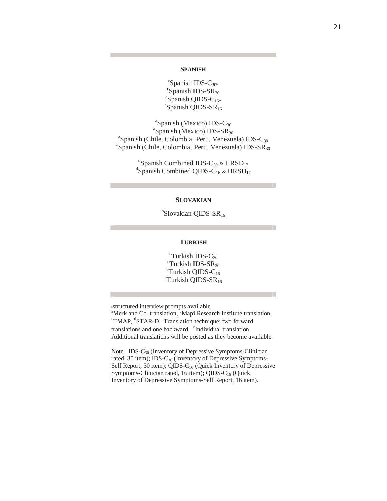### **SPANISH**

 ${}^c$ Spanish IDS-C<sub>30\*</sub>  $c$ Spanish IDS-SR<sub>30</sub>  $c$ Spanish QIDS-C<sub>16\*</sub>  ${}^{\rm c}$ Spanish QIDS-SR<sub>16</sub>

 $\frac{a}{2}$ Spanish (Mexico) IDS-C<sub>30</sub><br> $\frac{a}{2}$ Spanish (Mexico) IDS-SP  ${}^{a}$ Spanish (Mexico) IDS-SR<sub>30</sub>  ${}^{\text{a}}$ Spanish (Chile, Colombia, Peru, Venezuela) IDS-C<sub>30</sub>  ${}^{\text{a}}$ Spanish (Chile, Colombia, Peru, Venezuela) IDS-SR<sub>30</sub>

> $\mathrm{d}^{\mathrm{d}}$ Spanish Combined IDS-C<sub>30</sub> & HRSD<sub>17</sub>  $\rm{d}$ Spanish Combined QIDS-C<sub>16</sub> & HRSD<sub>17</sub>

#### **SLOVAKIAN**

<sup>b</sup>Slovakian QIDS-SR<sub>16</sub>

#### **TURKISH**

 $\text{C}_{30}^{\text{e}}$ Turkish IDS-C<sub>30</sub>  $\mathrm{^{e}T}$ urkish IDS-SR<sub>30</sub>  $\mathrm{^{e}T}$ urkish QIDS-C<sub>16</sub>  $\mathrm{^{e}T}$ urkish QIDS-SR<sub>16</sub>

\*structured interview prompts available

<sup>a</sup>Merk and Co. translation, <sup>b</sup>Mapi Research Institute translation,  $\frac{1}{2}$ <sup>d</sup>STAR D. Translation technique: two forward TMAP, <sup>d</sup>STAR-D. Translation technique: two forward translations and one backward. <sup>e</sup>Individual translation. Additional translations will be posted as they become available.

Note. IDS-C<sub>30</sub> (Inventory of Depressive Symptoms-Clinician rated, 30 item); IDS-C<sub>30</sub> (Inventory of Depressive Symptoms-Self Report, 30 item); QIDS-C<sub>16</sub> (Quick Inventory of Depressive Symptoms-Clinician rated, 16 item); QIDS-C<sub>16</sub> (Quick Inventory of Depressive Symptoms-Self Report, 16 item).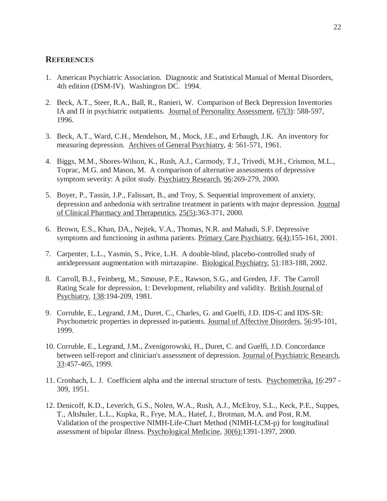# **REFERENCES**

- 1. American Psychiatric Association. Diagnostic and Statistical Manual of Mental Disorders, 4th edition (DSM-IV). Washington DC. 1994.
- 2. Beck, A.T., Steer, R.A., Ball, R., Ranieri, W. Comparison of Beck Depression Inventories IA and II in psychiatric outpatients. Journal of Personality Assessment, 67(3): 588-597, 1996.
- 3. Beck, A.T., Ward, C.H., Mendelson, M., Mock, J.E., and Erbaugh, J.K. An inventory for measuring depression. Archives of General Psychiatry, 4: 561-571, 1961.
- 4. Biggs, M.M., Shores-Wilson, K., Rush, A.J., Carmody, T.J., Trivedi, M.H., Crismon, M.L., Toprac, M.G. and Mason, M. A comparison of alternative assessments of depressive symptom severity: A pilot study. Psychiatry Research, 96:269-279, 2000.
- 5. Boyer, P., Tassin, J.P., Falissart, B., and Troy, S. Sequential improvement of anxiety, depression and anhedonia with sertraline treatment in patients with major depression. Journal of Clinical Pharmacy and Therapeutics, 25(5):363-371, 2000.
- 6. Brown, E.S., Khan, DA., Nejtek, V.A., Thomas, N.R. and Mahadi, S.F. Depressive symptoms and functioning in asthma patients. Primary Care Psychiatry, 6(4):155-161, 2001.
- 7. Carpenter, L.L., Yasmin, S., Price, L.H. A double-blind, placebo-controlled study of antidepressant augmentation with mirtazapine. Biological Psychiatry, 51:183-188, 2002.
- 8. Carroll, B.J., Feinberg, M., Smouse, P.E., Rawson, S.G., and Greden, J.F. The Carroll Rating Scale for depression, 1: Development, reliability and validity. British Journal of Psychiatry, 138:194-209, 1981.
- 9. Corruble, E., Legrand, J.M., Duret, C., Charles, G. and Guelfi, J.D. IDS-C and IDS-SR: Psychometric properties in depressed in-patients. Journal of Affective Disorders, 56:95-101, 1999.
- 10. Corruble, E., Legrand, J.M., Zvenigorowski, H., Duret, C. and Guelfi, J.D. Concordance between self-report and clinician's assessment of depression. Journal of Psychiatric Research, 33:457-465, 1999.
- 11. Cronbach, L. J. Coefficient alpha and the internal structure of tests. Psychometrika, 16:297 309, 1951.
- 12. Denicoff, K.D., Leverich, G.S., Nolen, W.A., Rush, A.J., McElroy, S.L., Keck, P.E., Suppes, T., Altshuler, L.L., Kupka, R., Frye, M.A., Hatef, J., Brotman, M.A. and Post, R.M. Validation of the prospective NIMH-Life-Chart Method (NIMH-LCM-p) for longitudinal assessment of bipolar illness. Psychological Medicine, 30(6):1391-1397, 2000.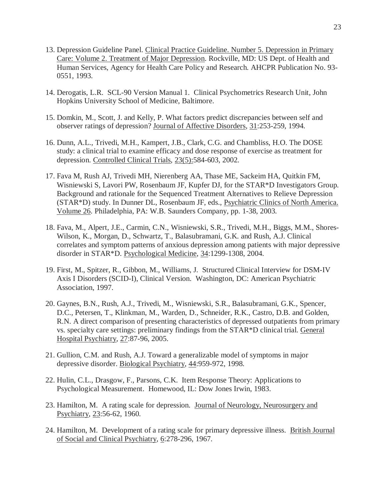- 13. Depression Guideline Panel. Clinical Practice Guideline. Number 5. Depression in Primary Care: Volume 2. Treatment of Major Depression. Rockville, MD: US Dept. of Health and Human Services, Agency for Health Care Policy and Research. AHCPR Publication No. 93- 0551, 1993.
- 14. Derogatis, L.R. SCL-90 Version Manual 1. Clinical Psychometrics Research Unit, John Hopkins University School of Medicine, Baltimore.
- 15. Domkin, M., Scott, J. and Kelly, P. What factors predict discrepancies between self and observer ratings of depression? Journal of Affective Disorders, 31:253-259, 1994.
- 16. Dunn, A.L., Trivedi, M.H., Kampert, J.B., Clark, C.G. and Chambliss, H.O. The DOSE study: a clinical trial to examine efficacy and dose response of exercise as treatment for depression. Controlled Clinical Trials, 23(5):584-603, 2002.
- 17. Fava M, Rush AJ, Trivedi MH, Nierenberg AA, Thase ME, Sackeim HA, Quitkin FM, Wisniewski S, Lavori PW, Rosenbaum JF, Kupfer DJ, for the STAR\*D Investigators Group. Background and rationale for the Sequenced Treatment Alternatives to Relieve Depression (STAR\*D) study. In Dunner DL, Rosenbaum JF, eds., Psychiatric Clinics of North America. Volume 26. Philadelphia, PA: W.B. Saunders Company, pp. 1-38, 2003.
- 18. Fava, M., Alpert, J.E., Carmin, C.N., Wisniewski, S.R., Trivedi, M.H., Biggs, M.M., Shores-Wilson, K., Morgan, D., Schwartz, T., Balasubramani, G.K. and Rush, A.J. Clinical correlates and symptom patterns of anxious depression among patients with major depressive disorder in STAR\*D. Psychological Medicine, 34:1299-1308, 2004.
- 19. First, M., Spitzer, R., Gibbon, M., Williams, J. Structured Clinical Interview for DSM-IV Axis I Disorders (SCID-I), Clinical Version. Washington, DC: American Psychiatric Association, 1997.
- 20. Gaynes, B.N., Rush, A.J., Trivedi, M., Wisniewski, S.R., Balasubramani, G.K., Spencer, D.C., Petersen, T., Klinkman, M., Warden, D., Schneider, R.K., Castro, D.B. and Golden, R.N. A direct comparison of presenting characteristics of depressed outpatients from primary vs. specialty care settings: preliminary findings from the STAR\*D clinical trial. General Hospital Psychiatry, 27:87-96, 2005.
- 21. Gullion, C.M. and Rush, A.J. Toward a generalizable model of symptoms in major depressive disorder. Biological Psychiatry, 44:959-972, 1998.
- 22. Hulin, C.L., Drasgow, F., Parsons, C.K. Item Response Theory: Applications to Psychological Measurement. Homewood, IL: Dow Jones Irwin, 1983.
- 23. Hamilton, M. A rating scale for depression. Journal of Neurology, Neurosurgery and Psychiatry, 23:56-62, 1960.
- 24. Hamilton, M. Development of a rating scale for primary depressive illness. British Journal of Social and Clinical Psychiatry, 6:278-296, 1967.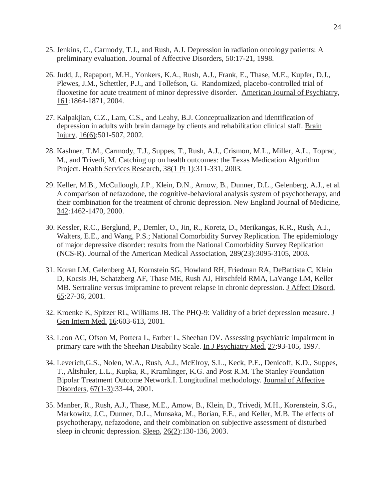- 25. Jenkins, C., Carmody, T.J., and Rush, A.J. Depression in radiation oncology patients: A preliminary evaluation. Journal of Affective Disorders, 50:17-21, 1998.
- 26. Judd, J., Rapaport, M.H., Yonkers, K.A., Rush, A.J., Frank, E., Thase, M.E., Kupfer, D.J., Plewes, J.M., Schettler, P.J., and Tollefson, G. Randomized, placebo-controlled trial of fluoxetine for acute treatment of minor depressive disorder. American Journal of Psychiatry, 161:1864-1871, 2004.
- 27. Kalpakjian, C.Z., Lam, C.S., and Leahy, B.J. Conceptualization and identification of depression in adults with brain damage by clients and rehabilitation clinical staff. Brain Injury, 16(6):501-507, 2002.
- 28. Kashner, T.M., Carmody, T.J., Suppes, T., Rush, A.J., Crismon, M.L., Miller, A.L., Toprac, M., and Trivedi, M. Catching up on health outcomes: the Texas Medication Algorithm Project. Health Services Research, 38(1 Pt 1):311-331, 2003.
- 29. Keller, M.B., McCullough, J.P., Klein, D.N., Arnow, B., Dunner, D.L., Gelenberg, A.J., et al. A comparison of nefazodone, the cognitive-behavioral analysis system of psychotherapy, and their combination for the treatment of chronic depression. New England Journal of Medicine, 342:1462-1470, 2000.
- 30. Kessler, R.C., Berglund, P., Demler, O., Jin, R., Koretz, D., Merikangas, K.R., Rush, A.J., Walters, E.E., and Wang, P.S.; National Comorbidity Survey Replication. The epidemiology of major depressive disorder: results from the National Comorbidity Survey Replication (NCS-R). Journal of the American Medical Association, 289(23):3095-3105, 2003.
- 31. Koran LM, Gelenberg AJ, Kornstein SG, Howland RH, Friedman RA, DeBattista C, Klein D, Kocsis JH, Schatzberg AF, Thase ME, Rush AJ, Hirschfeld RMA, LaVange LM, Keller MB. Sertraline versus imipramine to prevent relapse in chronic depression. J Affect Disord, 65:27-36, 2001.
- 32. Kroenke K, Spitzer RL, Williams JB. The PHQ-9: Validity of a brief depression measure. J Gen Intern Med, 16:603-613, 2001.
- 33. Leon AC, Ofson M, Portera L, Farber L, Sheehan DV. Assessing psychiatric impairment in primary care with the Sheehan Disability Scale. In J Psychiatry Med, 27:93-105, 1997.
- 34. Leverich,G.S., Nolen, W.A., Rush, A.J., McElroy, S.L., Keck, P.E., Denicoff, K.D., Suppes, T., Altshuler, L.L., Kupka, R., Kramlinger, K.G. and Post R.M. The Stanley Foundation Bipolar Treatment Outcome Network.I. Longitudinal methodology. Journal of Affective Disorders, 67(1-3):33-44, 2001.
- 35. Manber, R., Rush, A.J., Thase, M.E., Amow, B., Klein, D., Trivedi, M.H., Korenstein, S.G., Markowitz, J.C., Dunner, D.L., Munsaka, M., Borian, F.E., and Keller, M.B. The effects of psychotherapy, nefazodone, and their combination on subjective assessment of disturbed sleep in chronic depression. Sleep, 26(2):130-136, 2003.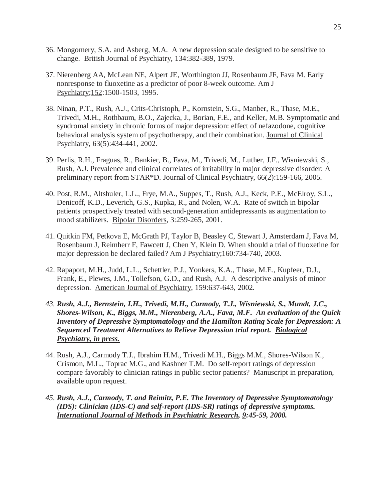- 36. Mongomery, S.A. and Asberg, M.A. A new depression scale designed to be sensitive to change. British Journal of Psychiatry, 134:382-389, 1979.
- 37. Nierenberg AA, McLean NE, Alpert JE, Worthington JJ, Rosenbaum JF, Fava M. Early nonresponse to fluoxetine as a predictor of poor 8-week outcome. Am J Psychiatry;152:1500-1503, 1995.
- 38. Ninan, P.T., Rush, A.J., Crits-Christoph, P., Kornstein, S.G., Manber, R., Thase, M.E., Trivedi, M.H., Rothbaum, B.O., Zajecka, J., Borian, F.E., and Keller, M.B. Symptomatic and syndromal anxiety in chronic forms of major depression: effect of nefazodone, cognitive behavioral analysis system of psychotherapy, and their combination. Journal of Clinical Psychiatry, 63(5):434-441, 2002.
- 39. Perlis, R.H., Fraguas, R., Bankier, B., Fava, M., Trivedi, M., Luther, J.F., Wisniewski, S., Rush, A.J. Prevalence and clinical correlates of irritability in major depressive disorder: A preliminary report from STAR\*D. Journal of Clinical Psychiatry, 66(2):159-166, 2005.
- 40. Post, R.M., Altshuler, L.L., Frye, M.A., Suppes, T., Rush, A.J., Keck, P.E., McElroy, S.L., Denicoff, K.D., Leverich, G.S., Kupka, R., and Nolen, W.A. Rate of switch in bipolar patients prospectively treated with second-generation antidepressants as augmentation to mood stabilizers. Bipolar Disorders, 3:259-265, 2001.
- 41. Quitkin FM, Petkova E, McGrath PJ, Taylor B, Beasley C, Stewart J, Amsterdam J, Fava M, Rosenbaum J, Reimherr F, Fawcett J, Chen Y, Klein D. When should a trial of fluoxetine for major depression be declared failed? Am J Psychiatry;160:734-740, 2003.
- 42. Rapaport, M.H., Judd, L.L., Schettler, P.J., Yonkers, K.A., Thase, M.E., Kupfeer, D.J., Frank, E., Plewes, J.M., Tollefson, G.D., and Rush, A.J. A descriptive analysis of minor depression. American Journal of Psychiatry, 159:637-643, 2002.
- *43. Rush, A.J., Bernstein, I.H., Trivedi, M.H., Carmody, T.J., Wisniewski, S., Mundt, J.C., Shores-Wilson, K., Biggs, M.M., Nierenberg, A.A., Fava, M.F. An evaluation of the Quick Inventory of Depressive Symptomatology and the Hamilton Rating Scale for Depression: A Sequenced Treatment Alternatives to Relieve Depression trial report. Biological Psychiatry, in press.*
- 44. Rush, A.J., Carmody T.J., Ibrahim H.M., Trivedi M.H., Biggs M.M., Shores-Wilson K., Crismon, M.L., Toprac M.G., and Kashner T.M. Do self-report ratings of depression compare favorably to clinician ratings in public sector patients? Manuscript in preparation, available upon request.
- *45. Rush, A.J., Carmody, T. and Reimitz, P.E. The Inventory of Depressive Symptomatology (IDS): Clinician (IDS-C) and self-report (IDS-SR) ratings of depressive symptoms. International Journal of Methods in Psychiatric Research, 9:45-59, 2000.*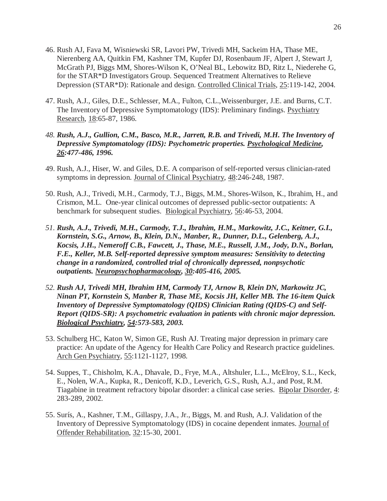- 46. Rush AJ, Fava M, Wisniewski SR, Lavori PW, Trivedi MH, Sackeim HA, Thase ME, Nierenberg AA, Quitkin FM, Kashner TM, Kupfer DJ, Rosenbaum JF, Alpert J, Stewart J, McGrath PJ, Biggs MM, Shores-Wilson K, O'Neal BL, Lebowitz BD, Ritz L, Niederehe G, for the STAR\*D Investigators Group. Sequenced Treatment Alternatives to Relieve Depression (STAR\*D): Rationale and design. Controlled Clinical Trials, 25:119-142, 2004.
- 47. Rush, A.J., Giles, D.E., Schlesser, M.A., Fulton, C.L.,Weissenburger, J.E. and Burns, C.T. The Inventory of Depressive Symptomatology (IDS): Preliminary findings. Psychiatry Research, 18:65-87, 1986.
- *48. Rush, A.J., Gullion, C.M., Basco, M.R., Jarrett, R.B. and Trivedi, M.H. The Inventory of Depressive Symptomatology (IDS): Psychometric properties. Psychological Medicine, 26:477-486, 1996.*
- 49. Rush, A.J., Hiser, W. and Giles, D.E. A comparison of self-reported versus clinician-rated symptoms in depression. Journal of Clinical Psychiatry, 48:246-248, 1987.
- 50. Rush, A.J., Trivedi, M.H., Carmody, T.J., Biggs, M.M., Shores-Wilson, K., Ibrahim, H., and Crismon, M.L. One-year clinical outcomes of depressed public-sector outpatients: A benchmark for subsequent studies. Biological Psychiatry, 56:46-53, 2004.
- *51. Rush, A.J., Trivedi, M.H., Carmody, T.J., Ibrahim, H.M., Markowitz, J.C., Keitner, G.I., Kornstein, S.G., Arnow, B., Klein, D.N., Manber, R., Dunner, D.L., Gelenberg, A.J., Kocsis, J.H., Nemeroff C.B., Fawcett, J., Thase, M.E., Russell, J.M., Jody, D.N., Borlan, F.E., Keller, M.B. Self-reported depressive symptom measures: Sensitivity to detecting change in a randomized, controlled trial of chronically depressed, nonpsychotic outpatients. Neuropsychopharmacology, 30:405-416, 2005.*
- *52. Rush AJ, Trivedi MH, Ibrahim HM, Carmody TJ, Arnow B, Klein DN, Markowitz JC, Ninan PT, Kornstein S, Manber R, Thase ME, Kocsis JH, Keller MB. The 16-item Quick Inventory of Depressive Symptomatology (QIDS) Clinician Rating (QIDS-C) and Self-Report (QIDS-SR): A psychometric evaluation in patients with chronic major depression. Biological Psychiatry, 54:573-583, 2003.*
- 53. Schulberg HC, Katon W, Simon GE, Rush AJ. Treating major depression in primary care practice: An update of the Agency for Health Care Policy and Research practice guidelines. Arch Gen Psychiatry, 55:1121-1127, 1998.
- 54. Suppes, T., Chisholm, K.A., Dhavale, D., Frye, M.A., Altshuler, L.L., McElroy, S.L., Keck, E., Nolen, W.A., Kupka, R., Denicoff, K.D., Leverich, G.S., Rush, A.J., and Post, R.M. Tiagabine in treatment refractory bipolar disorder: a clinical case series. Bipolar Disorder, 4: 283-289, 2002.
- 55. Surís, A., Kashner, T.M., Gillaspy, J.A., Jr., Biggs, M. and Rush, A.J. Validation of the Inventory of Depressive Symptomatology (IDS) in cocaine dependent inmates. Journal of Offender Rehabilitation, 32:15-30, 2001.